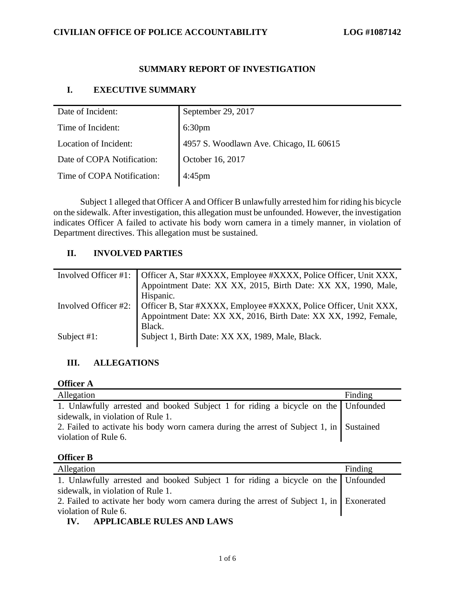### **SUMMARY REPORT OF INVESTIGATION**

## **I. EXECUTIVE SUMMARY**

| Date of Incident:          | September 29, 2017                      |
|----------------------------|-----------------------------------------|
| Time of Incident:          | 6:30 <sub>pm</sub>                      |
| Location of Incident:      | 4957 S. Woodlawn Ave. Chicago, IL 60615 |
| Date of COPA Notification: | October 16, 2017                        |
| Time of COPA Notification: | $4:45$ pm                               |

Subject 1 alleged that Officer A and Officer B unlawfully arrested him for riding his bicycle on the sidewalk. After investigation, this allegation must be unfounded. However, the investigation indicates Officer A failed to activate his body worn camera in a timely manner, in violation of Department directives. This allegation must be sustained.

## **II. INVOLVED PARTIES**

|                | Involved Officer #1: Officer A, Star #XXXX, Employee #XXXX, Police Officer, Unit XXX, Appointment Date: XX XX, 2015, Birth Date: XX XX, 1990, Male,   |
|----------------|-------------------------------------------------------------------------------------------------------------------------------------------------------|
|                | Hispanic.                                                                                                                                             |
|                | Involved Officer #2: Officer B, Star #XXXX, Employee #XXXX, Police Officer, Unit XXX, Appointment Date: XX XX, 2016, Birth Date: XX XX, 1992, Female, |
|                |                                                                                                                                                       |
|                | Black.                                                                                                                                                |
| Subject $#1$ : | Subject 1, Birth Date: XX XX, 1989, Male, Black.                                                                                                      |
|                |                                                                                                                                                       |

## **III. ALLEGATIONS**

| Officer |
|---------|
|---------|

| Allegation                                                                              | Finding |
|-----------------------------------------------------------------------------------------|---------|
| 1. Unlawfully arrested and booked Subject 1 for riding a bicycle on the Unfounded       |         |
| sidewalk, in violation of Rule 1.                                                       |         |
| 2. Failed to activate his body worn camera during the arrest of Subject 1, in Sustained |         |
| violation of Rule 6.                                                                    |         |
|                                                                                         |         |

## **Officer B**

| Allegation                                                                               | Finding |
|------------------------------------------------------------------------------------------|---------|
| 1. Unlawfully arrested and booked Subject 1 for riding a bicycle on the Unfounded        |         |
| sidewalk, in violation of Rule 1.                                                        |         |
| 2. Failed to activate her body worn camera during the arrest of Subject 1, in Exonerated |         |
| violation of Rule 6.                                                                     |         |
| A DDI IZA DI E DIJI ECAND I AWG                                                          |         |

## **IV. APPLICABLE RULES AND LAWS**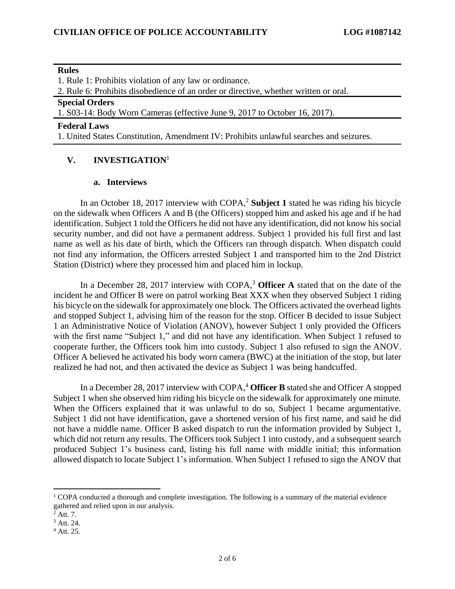#### **Rules**

1. Rule 1: Prohibits violation of any law or ordinance.

2. Rule 6: Prohibits disobedience of an order or directive, whether written or oral.

#### **Special Orders**

1. S03-14: Body Worn Cameras (effective June 9, 2017 to October 16, 2017).

**Federal Laws**

1. United States Constitution, Amendment IV: Prohibits unlawful searches and seizures.

## **V. INVESTIGATION**<sup>1</sup>

#### **a. Interviews**

In an October 18, 2017 interview with COPA,<sup>2</sup> Subject 1 stated he was riding his bicycle on the sidewalk when Officers A and B (the Officers) stopped him and asked his age and if he had identification. Subject 1 told the Officers he did not have any identification, did not know his social security number, and did not have a permanent address. Subject 1 provided his full first and last name as well as his date of birth, which the Officers ran through dispatch. When dispatch could not find any information, the Officers arrested Subject 1 and transported him to the 2nd District Station (District) where they processed him and placed him in lockup.

In a December 28, 2017 interview with COPA,<sup>3</sup> **Officer A** stated that on the date of the incident he and Officer B were on patrol working Beat XXX when they observed Subject 1 riding his bicycle on the sidewalk for approximately one block. The Officers activated the overhead lights and stopped Subject 1, advising him of the reason for the stop. Officer B decided to issue Subject 1 an Administrative Notice of Violation (ANOV), however Subject 1 only provided the Officers with the first name "Subject 1," and did not have any identification. When Subject 1 refused to cooperate further, the Officers took him into custody. Subject 1 also refused to sign the ANOV. Officer A believed he activated his body worn camera (BWC) at the initiation of the stop, but later realized he had not, and then activated the device as Subject 1 was being handcuffed.

In a December 28, 2017 interview with COPA,<sup>4</sup> Officer B stated she and Officer A stopped Subject 1 when she observed him riding his bicycle on the sidewalk for approximately one minute. When the Officers explained that it was unlawful to do so, Subject 1 became argumentative. Subject 1 did not have identification, gave a shortened version of his first name, and said he did not have a middle name. Officer B asked dispatch to run the information provided by Subject 1, which did not return any results. The Officers took Subject 1 into custody, and a subsequent search produced Subject 1's business card, listing his full name with middle initial; this information allowed dispatch to locate Subject 1's information. When Subject 1 refused to sign the ANOV that

 $1$  COPA conducted a thorough and complete investigation. The following is a summary of the material evidence gathered and relied upon in our analysis.

 $2^2$  Att. 7.

<sup>3</sup> Att. 24.

<sup>4</sup> Att. 25.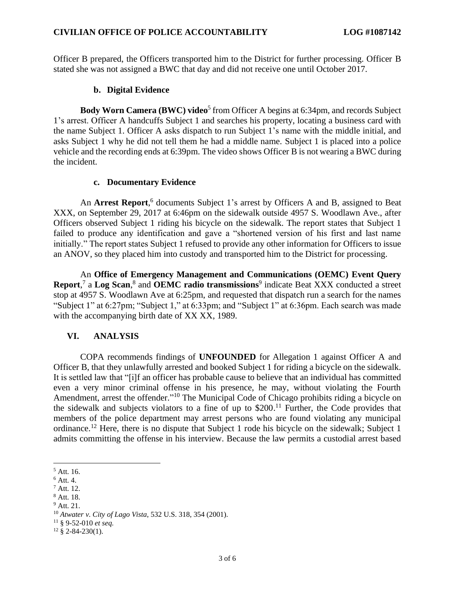Officer B prepared, the Officers transported him to the District for further processing. Officer B stated she was not assigned a BWC that day and did not receive one until October 2017.

#### **b. Digital Evidence**

**Body Worn Camera (BWC) video**<sup>5</sup> from Officer A begins at 6:34pm, and records Subject 1's arrest. Officer A handcuffs Subject 1 and searches his property, locating a business card with the name Subject 1. Officer A asks dispatch to run Subject 1's name with the middle initial, and asks Subject 1 why he did not tell them he had a middle name. Subject 1 is placed into a police vehicle and the recording ends at 6:39pm. The video shows Officer B is not wearing a BWC during the incident.

#### **c. Documentary Evidence**

An **Arrest Report**, 6 documents Subject 1's arrest by Officers A and B, assigned to Beat XXX, on September 29, 2017 at 6:46pm on the sidewalk outside 4957 S. Woodlawn Ave., after Officers observed Subject 1 riding his bicycle on the sidewalk. The report states that Subject 1 failed to produce any identification and gave a "shortened version of his first and last name initially." The report states Subject 1 refused to provide any other information for Officers to issue an ANOV, so they placed him into custody and transported him to the District for processing.

An **Office of Emergency Management and Communications (OEMC) Event Query**  Report,<sup>7</sup> a Log Scan,<sup>8</sup> and OEMC radio transmissions<sup>9</sup> indicate Beat XXX conducted a street stop at 4957 S. Woodlawn Ave at 6:25pm, and requested that dispatch run a search for the names "Subject 1" at 6:27pm; "Subject 1," at 6:33pm; and "Subject 1" at 6:36pm. Each search was made with the accompanying birth date of XX XX, 1989.

## **VI. ANALYSIS**

COPA recommends findings of **UNFOUNDED** for Allegation 1 against Officer A and Officer B, that they unlawfully arrested and booked Subject 1 for riding a bicycle on the sidewalk. It is settled law that "[i]f an officer has probable cause to believe that an individual has committed even a very minor criminal offense in his presence, he may, without violating the Fourth Amendment, arrest the offender."<sup>10</sup> The Municipal Code of Chicago prohibits riding a bicycle on the sidewalk and subjects violators to a fine of up to  $$200<sup>11</sup>$  Further, the Code provides that members of the police department may arrest persons who are found violating any municipal ordinance.<sup>12</sup> Here, there is no dispute that Subject 1 rode his bicycle on the sidewalk; Subject 1 admits committing the offense in his interview. Because the law permits a custodial arrest based

<sup>8</sup> Att. 18.

<sup>5</sup> Att. 16.

 $6$  Att. 4.

<sup>7</sup> Att. 12.

 $9$  Att. 21.

<sup>10</sup> *Atwater v. City of Lago Vista*, 532 U.S. 318, 354 (2001).

<sup>11</sup> § 9-52-010 *et seq.*

 $12 \& 2 - 84 - 230(1)$ .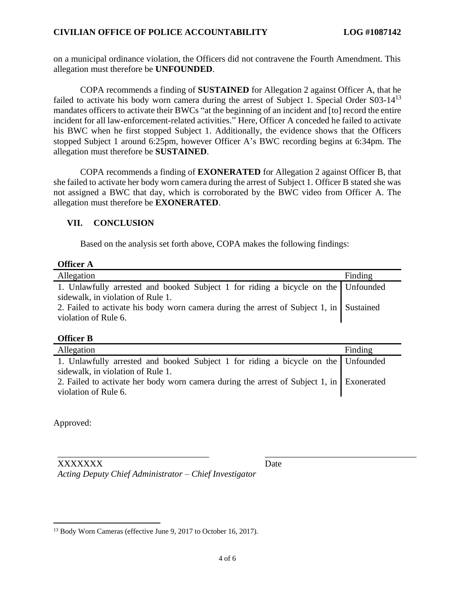#### **CIVILIAN OFFICE OF POLICE ACCOUNTABILITY LOG #1087142**

on a municipal ordinance violation, the Officers did not contravene the Fourth Amendment. This allegation must therefore be **UNFOUNDED**.

COPA recommends a finding of **SUSTAINED** for Allegation 2 against Officer A, that he failed to activate his body worn camera during the arrest of Subject 1. Special Order S03-14<sup>13</sup> mandates officers to activate their BWCs "at the beginning of an incident and [to] record the entire incident for all law-enforcement-related activities." Here, Officer A conceded he failed to activate his BWC when he first stopped Subject 1. Additionally, the evidence shows that the Officers stopped Subject 1 around 6:25pm, however Officer A's BWC recording begins at 6:34pm. The allegation must therefore be **SUSTAINED**.

COPA recommends a finding of **EXONERATED** for Allegation 2 against Officer B, that she failed to activate her body worn camera during the arrest of Subject 1. Officer B stated she was not assigned a BWC that day, which is corroborated by the BWC video from Officer A. The allegation must therefore be **EXONERATED**.

#### **VII. CONCLUSION**

Based on the analysis set forth above, COPA makes the following findings:

| Officer |  |
|---------|--|
|---------|--|

| Allegation                                                                                                             | Finding |
|------------------------------------------------------------------------------------------------------------------------|---------|
| 1. Unlawfully arrested and booked Subject 1 for riding a bicycle on the Unfounded<br>sidewalk, in violation of Rule 1. |         |
| 2. Failed to activate his body worn camera during the arrest of Subject 1, in Sustained<br>violation of Rule 6.        |         |

#### **Officer B**

| Allegation                                                                                                             | Finding |
|------------------------------------------------------------------------------------------------------------------------|---------|
| 1. Unlawfully arrested and booked Subject 1 for riding a bicycle on the Unfounded<br>sidewalk, in violation of Rule 1. |         |
| 2. Failed to activate her body worn camera during the arrest of Subject 1, in Exonerated                               |         |
| violation of Rule 6.                                                                                                   |         |

Approved:

| XXXXXXX                                                | Date |
|--------------------------------------------------------|------|
| Acting Deputy Chief Administrator - Chief Investigator |      |

<sup>&</sup>lt;sup>13</sup> Body Worn Cameras (effective June 9, 2017 to October 16, 2017).